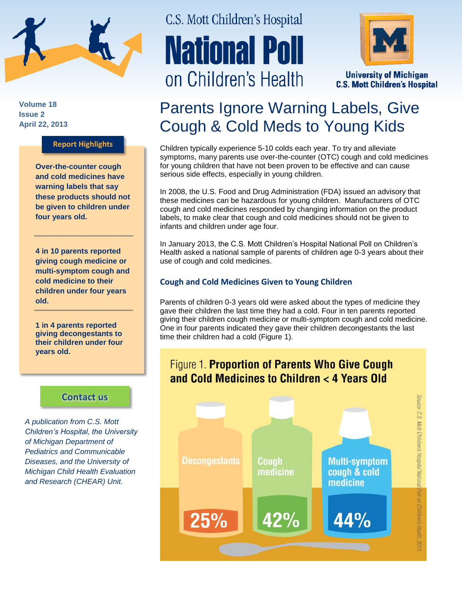

**Volume 18 Issue 2 April 22, 2013**

### **Report Highlights**

**Over-the-counter cough and cold medicines have warning labels that say these products should not be given to children under four years old.**

**4 in 10 parents reported giving cough medicine or multi-symptom cough and cold medicine to their children under four years old.** 

**1 in 4 parents reported giving decongestants to their children under four years old.**

### **[Contact us](http://mottnpch.org/contact)**

*A publication from C.S. Mott Children's Hospital, the University of Michigan Department of Pediatrics and Communicable Diseases, and the University of Michigan Child Health Evaluation and Research (CHEAR) Unit.*

# C.S. Mott Children's Hospital **National Poll** on Children's Health



**University of Michigan C.S. Mott Children's Hospital** 

## Parents Ignore Warning Labels, Give Cough & Cold Meds to Young Kids

Children typically experience 5-10 colds each year. To try and alleviate symptoms, many parents use over-the-counter (OTC) cough and cold medicines for young children that have not been proven to be effective and can cause serious side effects, especially in young children.

In 2008, the U.S. Food and Drug Administration (FDA) issued an advisory that these medicines can be hazardous for young children. Manufacturers of OTC cough and cold medicines responded by changing information on the product labels, to make clear that cough and cold medicines should not be given to infants and children under age four.

In January 2013, the C.S. Mott Children's Hospital National Poll on Children's Health asked a national sample of parents of children age 0-3 years about their use of cough and cold medicines.

### **Cough and Cold Medicines Given to Young Children**

Parents of children 0-3 years old were asked about the types of medicine they gave their children the last time they had a cold. Four in ten parents reported giving their children cough medicine or multi-symptom cough and cold medicine. One in four parents indicated they gave their children decongestants the last time their children had a cold (Figure 1).

### Figure 1. Proportion of Parents Who Give Cough and Cold Medicines to Children < 4 Years Old